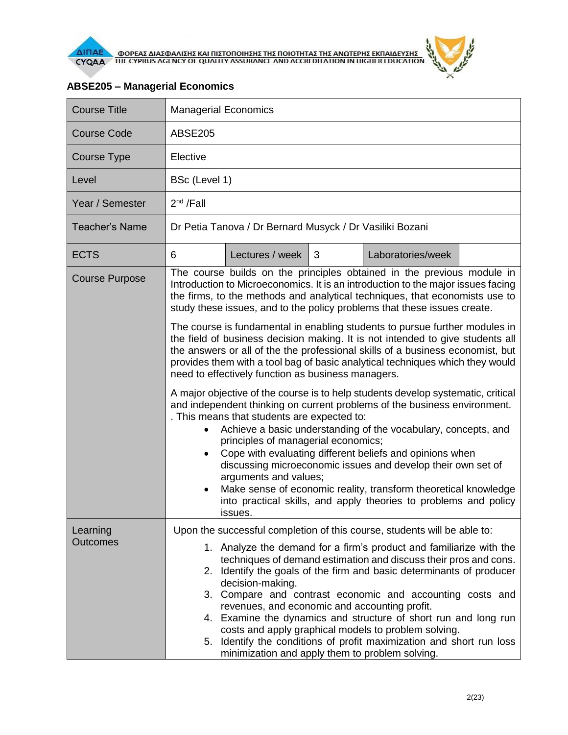

| <b>Course Title</b>         | <b>Managerial Economics</b>                                                                                                                                                                                                                                                                                                                                                                                                                                                                                                                                                                                                                                                                                                                                                                                                                                                                                                     |                                                                                                                                                                                                                                                                                                                                                                                                                                                                                                                                                                                                                                                                                     |   |                   |  |  |
|-----------------------------|---------------------------------------------------------------------------------------------------------------------------------------------------------------------------------------------------------------------------------------------------------------------------------------------------------------------------------------------------------------------------------------------------------------------------------------------------------------------------------------------------------------------------------------------------------------------------------------------------------------------------------------------------------------------------------------------------------------------------------------------------------------------------------------------------------------------------------------------------------------------------------------------------------------------------------|-------------------------------------------------------------------------------------------------------------------------------------------------------------------------------------------------------------------------------------------------------------------------------------------------------------------------------------------------------------------------------------------------------------------------------------------------------------------------------------------------------------------------------------------------------------------------------------------------------------------------------------------------------------------------------------|---|-------------------|--|--|
| <b>Course Code</b>          | <b>ABSE205</b>                                                                                                                                                                                                                                                                                                                                                                                                                                                                                                                                                                                                                                                                                                                                                                                                                                                                                                                  |                                                                                                                                                                                                                                                                                                                                                                                                                                                                                                                                                                                                                                                                                     |   |                   |  |  |
| Course Type                 | Elective                                                                                                                                                                                                                                                                                                                                                                                                                                                                                                                                                                                                                                                                                                                                                                                                                                                                                                                        |                                                                                                                                                                                                                                                                                                                                                                                                                                                                                                                                                                                                                                                                                     |   |                   |  |  |
| Level                       | BSc (Level 1)                                                                                                                                                                                                                                                                                                                                                                                                                                                                                                                                                                                                                                                                                                                                                                                                                                                                                                                   |                                                                                                                                                                                                                                                                                                                                                                                                                                                                                                                                                                                                                                                                                     |   |                   |  |  |
| Year / Semester             | $2^{nd}$ /Fall                                                                                                                                                                                                                                                                                                                                                                                                                                                                                                                                                                                                                                                                                                                                                                                                                                                                                                                  |                                                                                                                                                                                                                                                                                                                                                                                                                                                                                                                                                                                                                                                                                     |   |                   |  |  |
| <b>Teacher's Name</b>       | Dr Petia Tanova / Dr Bernard Musyck / Dr Vasiliki Bozani                                                                                                                                                                                                                                                                                                                                                                                                                                                                                                                                                                                                                                                                                                                                                                                                                                                                        |                                                                                                                                                                                                                                                                                                                                                                                                                                                                                                                                                                                                                                                                                     |   |                   |  |  |
| <b>ECTS</b>                 | 6                                                                                                                                                                                                                                                                                                                                                                                                                                                                                                                                                                                                                                                                                                                                                                                                                                                                                                                               | Lectures / week                                                                                                                                                                                                                                                                                                                                                                                                                                                                                                                                                                                                                                                                     | 3 | Laboratories/week |  |  |
| <b>Course Purpose</b>       | The course builds on the principles obtained in the previous module in<br>Introduction to Microeconomics. It is an introduction to the major issues facing<br>the firms, to the methods and analytical techniques, that economists use to<br>study these issues, and to the policy problems that these issues create.<br>The course is fundamental in enabling students to pursue further modules in<br>the field of business decision making. It is not intended to give students all<br>the answers or all of the the professional skills of a business economist, but<br>provides them with a tool bag of basic analytical techniques which they would<br>need to effectively function as business managers.<br>A major objective of the course is to help students develop systematic, critical<br>and independent thinking on current problems of the business environment.<br>. This means that students are expected to: |                                                                                                                                                                                                                                                                                                                                                                                                                                                                                                                                                                                                                                                                                     |   |                   |  |  |
|                             | $\bullet$                                                                                                                                                                                                                                                                                                                                                                                                                                                                                                                                                                                                                                                                                                                                                                                                                                                                                                                       | Achieve a basic understanding of the vocabulary, concepts, and<br>principles of managerial economics;<br>Cope with evaluating different beliefs and opinions when<br>discussing microeconomic issues and develop their own set of<br>arguments and values;<br>Make sense of economic reality, transform theoretical knowledge<br>into practical skills, and apply theories to problems and policy<br>issues.                                                                                                                                                                                                                                                                        |   |                   |  |  |
| Learning<br><b>Outcomes</b> |                                                                                                                                                                                                                                                                                                                                                                                                                                                                                                                                                                                                                                                                                                                                                                                                                                                                                                                                 | Upon the successful completion of this course, students will be able to:<br>1. Analyze the demand for a firm's product and familiarize with the<br>techniques of demand estimation and discuss their pros and cons.<br>2. Identify the goals of the firm and basic determinants of producer<br>decision-making.<br>3. Compare and contrast economic and accounting costs and<br>revenues, and economic and accounting profit.<br>4. Examine the dynamics and structure of short run and long run<br>costs and apply graphical models to problem solving.<br>5. Identify the conditions of profit maximization and short run loss<br>minimization and apply them to problem solving. |   |                   |  |  |

## **ABSE205 – Managerial Economics**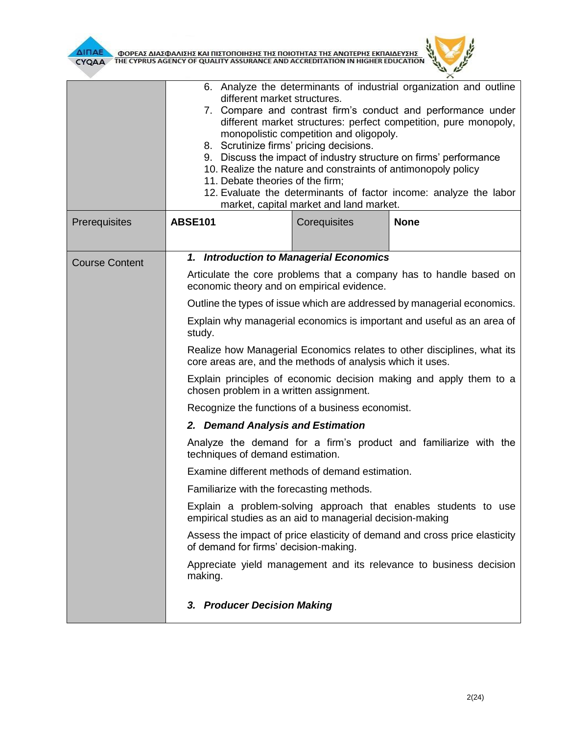

|                       | 6. Analyze the determinants of industrial organization and outline<br>different market structures.<br>7. Compare and contrast firm's conduct and performance under<br>different market structures: perfect competition, pure monopoly,<br>monopolistic competition and oligopoly.<br>8. Scrutinize firms' pricing decisions.<br>9. Discuss the impact of industry structure on firms' performance<br>10. Realize the nature and constraints of antimonopoly policy<br>11. Debate theories of the firm;<br>12. Evaluate the determinants of factor income: analyze the labor<br>market, capital market and land market. |              |             |  |  |
|-----------------------|------------------------------------------------------------------------------------------------------------------------------------------------------------------------------------------------------------------------------------------------------------------------------------------------------------------------------------------------------------------------------------------------------------------------------------------------------------------------------------------------------------------------------------------------------------------------------------------------------------------------|--------------|-------------|--|--|
| Prerequisites         | <b>ABSE101</b>                                                                                                                                                                                                                                                                                                                                                                                                                                                                                                                                                                                                         | Corequisites | <b>None</b> |  |  |
| <b>Course Content</b> | 1. Introduction to Managerial Economics                                                                                                                                                                                                                                                                                                                                                                                                                                                                                                                                                                                |              |             |  |  |
|                       | Articulate the core problems that a company has to handle based on<br>economic theory and on empirical evidence.                                                                                                                                                                                                                                                                                                                                                                                                                                                                                                       |              |             |  |  |
|                       | Outline the types of issue which are addressed by managerial economics.                                                                                                                                                                                                                                                                                                                                                                                                                                                                                                                                                |              |             |  |  |
|                       | Explain why managerial economics is important and useful as an area of<br>study.                                                                                                                                                                                                                                                                                                                                                                                                                                                                                                                                       |              |             |  |  |
|                       | Realize how Managerial Economics relates to other disciplines, what its<br>core areas are, and the methods of analysis which it uses.<br>Explain principles of economic decision making and apply them to a<br>chosen problem in a written assignment.                                                                                                                                                                                                                                                                                                                                                                 |              |             |  |  |
|                       |                                                                                                                                                                                                                                                                                                                                                                                                                                                                                                                                                                                                                        |              |             |  |  |
|                       | Recognize the functions of a business economist.                                                                                                                                                                                                                                                                                                                                                                                                                                                                                                                                                                       |              |             |  |  |
|                       | 2. Demand Analysis and Estimation                                                                                                                                                                                                                                                                                                                                                                                                                                                                                                                                                                                      |              |             |  |  |
|                       | Analyze the demand for a firm's product and familiarize with the<br>techniques of demand estimation.                                                                                                                                                                                                                                                                                                                                                                                                                                                                                                                   |              |             |  |  |
|                       | Examine different methods of demand estimation.                                                                                                                                                                                                                                                                                                                                                                                                                                                                                                                                                                        |              |             |  |  |
|                       | Familiarize with the forecasting methods.                                                                                                                                                                                                                                                                                                                                                                                                                                                                                                                                                                              |              |             |  |  |
|                       | Explain a problem-solving approach that enables students to use<br>empirical studies as an aid to managerial decision-making                                                                                                                                                                                                                                                                                                                                                                                                                                                                                           |              |             |  |  |
|                       | Assess the impact of price elasticity of demand and cross price elasticity<br>of demand for firms' decision-making.                                                                                                                                                                                                                                                                                                                                                                                                                                                                                                    |              |             |  |  |
|                       | Appreciate yield management and its relevance to business decision<br>making.                                                                                                                                                                                                                                                                                                                                                                                                                                                                                                                                          |              |             |  |  |
|                       | 3. Producer Decision Making                                                                                                                                                                                                                                                                                                                                                                                                                                                                                                                                                                                            |              |             |  |  |

 $\theta$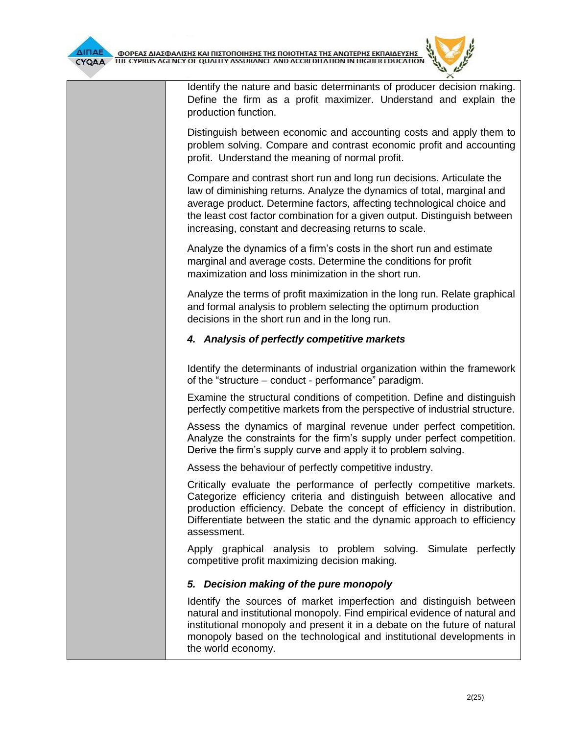Identify the nature and basic determinants of producer decision making. Define the firm as a profit maximizer. Understand and explain the production function.

Distinguish between economic and accounting costs and apply them to problem solving. Compare and contrast economic profit and accounting profit. Understand the meaning of normal profit.

Compare and contrast short run and long run decisions. Articulate the law of diminishing returns. Analyze the dynamics of total, marginal and average product. Determine factors, affecting technological choice and the least cost factor combination for a given output. Distinguish between increasing, constant and decreasing returns to scale.

Analyze the dynamics of a firm's costs in the short run and estimate marginal and average costs. Determine the conditions for profit maximization and loss minimization in the short run.

Analyze the terms of profit maximization in the long run. Relate graphical and formal analysis to problem selecting the optimum production decisions in the short run and in the long run.

# *4. Analysis of perfectly competitive markets*

Identify the determinants of industrial organization within the framework of the "structure – conduct - performance" paradigm.

Examine the structural conditions of competition. Define and distinguish perfectly competitive markets from the perspective of industrial structure.

Assess the dynamics of marginal revenue under perfect competition. Analyze the constraints for the firm's supply under perfect competition. Derive the firm's supply curve and apply it to problem solving.

Assess the behaviour of perfectly competitive industry.

Critically evaluate the performance of perfectly competitive markets. Categorize efficiency criteria and distinguish between allocative and production efficiency. Debate the concept of efficiency in distribution. Differentiate between the static and the dynamic approach to efficiency assessment.

Apply graphical analysis to problem solving. Simulate perfectly competitive profit maximizing decision making.

## *5. Decision making of the pure monopoly*

Identify the sources of market imperfection and distinguish between natural and institutional monopoly. Find empirical evidence of natural and institutional monopoly and present it in a debate on the future of natural monopoly based on the technological and institutional developments in the world economy.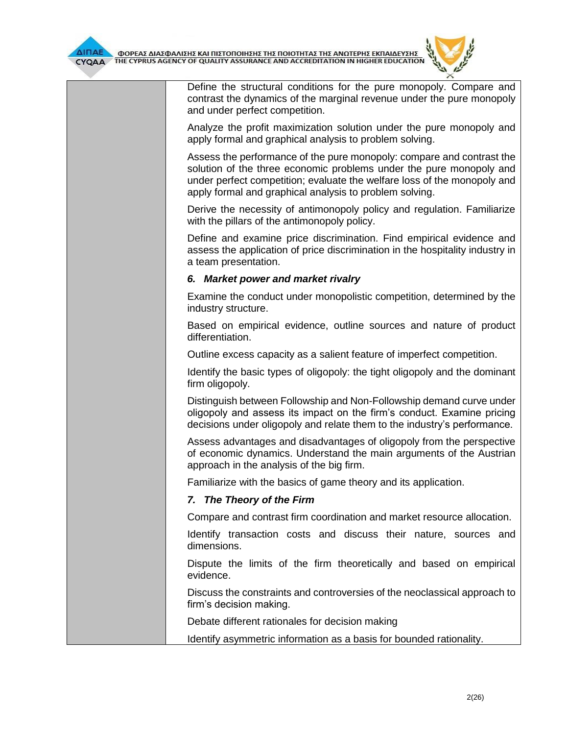

Define the structural conditions for the pure monopoly. Compare and contrast the dynamics of the marginal revenue under the pure monopoly and under perfect competition.

Analyze the profit maximization solution under the pure monopoly and apply formal and graphical analysis to problem solving.

Assess the performance of the pure monopoly: compare and contrast the solution of the three economic problems under the pure monopoly and under perfect competition; evaluate the welfare loss of the monopoly and apply formal and graphical analysis to problem solving.

Derive the necessity of antimonopoly policy and regulation. Familiarize with the pillars of the antimonopoly policy.

Define and examine price discrimination. Find empirical evidence and assess the application of price discrimination in the hospitality industry in a team presentation.

#### *6. Market power and market rivalry*

Examine the conduct under monopolistic competition, determined by the industry structure.

Based on empirical evidence, outline sources and nature of product differentiation.

Outline excess capacity as a salient feature of imperfect competition.

Identify the basic types of oligopoly: the tight oligopoly and the dominant firm oligopoly.

Distinguish between Followship and Non-Followship demand curve under oligopoly and assess its impact on the firm's conduct. Examine pricing decisions under oligopoly and relate them to the industry's performance.

Assess advantages and disadvantages of oligopoly from the perspective of economic dynamics. Understand the main arguments of the Austrian approach in the analysis of the big firm.

Familiarize with the basics of game theory and its application.

## *7. The Theory of the Firm*

Compare and contrast firm coordination and market resource allocation.

Identify transaction costs and discuss their nature, sources and dimensions.

Dispute the limits of the firm theoretically and based on empirical evidence.

Discuss the constraints and controversies of the neoclassical approach to firm's decision making.

Debate different rationales for decision making

Identify asymmetric information as a basis for bounded rationality.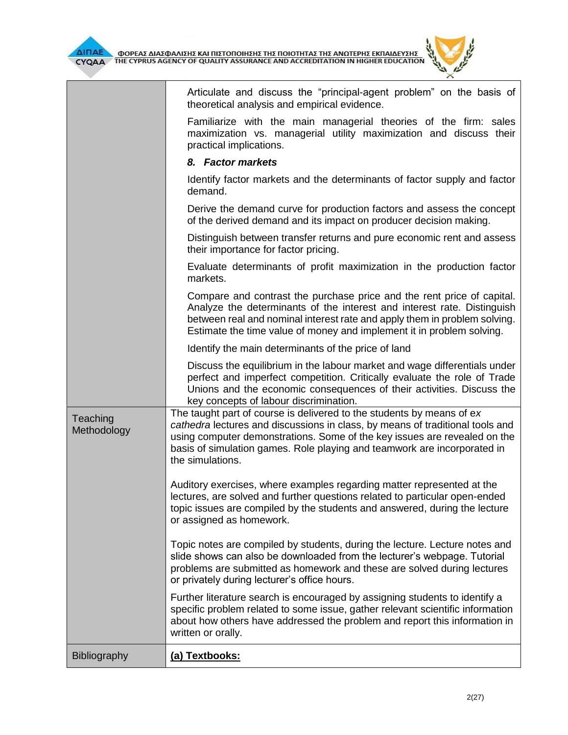

|                         | Articulate and discuss the "principal-agent problem" on the basis of<br>theoretical analysis and empirical evidence.                                                                                                                                                                                                                |
|-------------------------|-------------------------------------------------------------------------------------------------------------------------------------------------------------------------------------------------------------------------------------------------------------------------------------------------------------------------------------|
|                         | Familiarize with the main managerial theories of the firm: sales<br>maximization vs. managerial utility maximization and discuss their<br>practical implications.                                                                                                                                                                   |
|                         | 8. Factor markets                                                                                                                                                                                                                                                                                                                   |
|                         | Identify factor markets and the determinants of factor supply and factor<br>demand.                                                                                                                                                                                                                                                 |
|                         | Derive the demand curve for production factors and assess the concept<br>of the derived demand and its impact on producer decision making.                                                                                                                                                                                          |
|                         | Distinguish between transfer returns and pure economic rent and assess<br>their importance for factor pricing.                                                                                                                                                                                                                      |
|                         | Evaluate determinants of profit maximization in the production factor<br>markets.                                                                                                                                                                                                                                                   |
|                         | Compare and contrast the purchase price and the rent price of capital.<br>Analyze the determinants of the interest and interest rate. Distinguish<br>between real and nominal interest rate and apply them in problem solving.<br>Estimate the time value of money and implement it in problem solving.                             |
|                         | Identify the main determinants of the price of land                                                                                                                                                                                                                                                                                 |
|                         | Discuss the equilibrium in the labour market and wage differentials under<br>perfect and imperfect competition. Critically evaluate the role of Trade<br>Unions and the economic consequences of their activities. Discuss the<br>key concepts of labour discrimination.                                                            |
| Teaching<br>Methodology | The taught part of course is delivered to the students by means of ex<br>cathedra lectures and discussions in class, by means of traditional tools and<br>using computer demonstrations. Some of the key issues are revealed on the<br>basis of simulation games. Role playing and teamwork are incorporated in<br>the simulations. |
|                         | Auditory exercises, where examples regarding matter represented at the<br>lectures, are solved and further questions related to particular open-ended<br>topic issues are compiled by the students and answered, during the lecture<br>or assigned as homework.                                                                     |
|                         | Topic notes are compiled by students, during the lecture. Lecture notes and<br>slide shows can also be downloaded from the lecturer's webpage. Tutorial<br>problems are submitted as homework and these are solved during lectures<br>or privately during lecturer's office hours.                                                  |
|                         | Further literature search is encouraged by assigning students to identify a<br>specific problem related to some issue, gather relevant scientific information<br>about how others have addressed the problem and report this information in<br>written or orally.                                                                   |
| Bibliography            | (a) Textbooks:                                                                                                                                                                                                                                                                                                                      |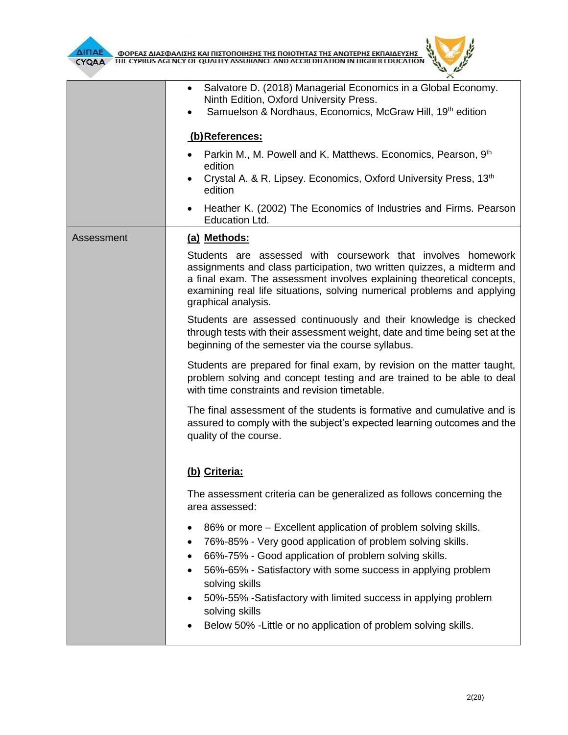



|            | Salvatore D. (2018) Managerial Economics in a Global Economy.<br>Ninth Edition, Oxford University Press.<br>Samuelson & Nordhaus, Economics, McGraw Hill, 19th edition<br>(b)References:                                                                                                                            |  |  |  |
|------------|---------------------------------------------------------------------------------------------------------------------------------------------------------------------------------------------------------------------------------------------------------------------------------------------------------------------|--|--|--|
|            |                                                                                                                                                                                                                                                                                                                     |  |  |  |
|            | Parkin M., M. Powell and K. Matthews. Economics, Pearson, 9th                                                                                                                                                                                                                                                       |  |  |  |
|            | edition<br>Crystal A. & R. Lipsey. Economics, Oxford University Press, 13 <sup>th</sup><br>edition                                                                                                                                                                                                                  |  |  |  |
|            | Heather K. (2002) The Economics of Industries and Firms. Pearson<br>$\bullet$<br>Education Ltd.                                                                                                                                                                                                                     |  |  |  |
| Assessment | (a) Methods:                                                                                                                                                                                                                                                                                                        |  |  |  |
|            | Students are assessed with coursework that involves homework<br>assignments and class participation, two written quizzes, a midterm and<br>a final exam. The assessment involves explaining theoretical concepts,<br>examining real life situations, solving numerical problems and applying<br>graphical analysis. |  |  |  |
|            | Students are assessed continuously and their knowledge is checked<br>through tests with their assessment weight, date and time being set at the<br>beginning of the semester via the course syllabus.                                                                                                               |  |  |  |
|            | Students are prepared for final exam, by revision on the matter taught,<br>problem solving and concept testing and are trained to be able to deal<br>with time constraints and revision timetable.                                                                                                                  |  |  |  |
|            | The final assessment of the students is formative and cumulative and is<br>assured to comply with the subject's expected learning outcomes and the<br>quality of the course.                                                                                                                                        |  |  |  |
|            | (b) Criteria:                                                                                                                                                                                                                                                                                                       |  |  |  |
|            | The assessment criteria can be generalized as follows concerning the<br>area assessed:                                                                                                                                                                                                                              |  |  |  |
|            | 86% or more – Excellent application of problem solving skills.<br>76%-85% - Very good application of problem solving skills.<br>66%-75% - Good application of problem solving skills.                                                                                                                               |  |  |  |
|            | 56%-65% - Satisfactory with some success in applying problem<br>solving skills                                                                                                                                                                                                                                      |  |  |  |
|            | 50%-55% -Satisfactory with limited success in applying problem<br>solving skills                                                                                                                                                                                                                                    |  |  |  |
|            | Below 50% - Little or no application of problem solving skills.                                                                                                                                                                                                                                                     |  |  |  |